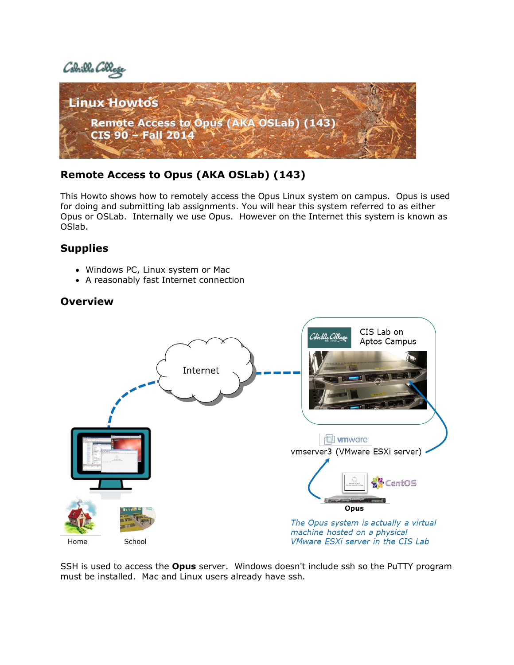



# **Remote Access to Opus (AKA OSLab) (143)**

This Howto shows how to remotely access the Opus Linux system on campus. Opus is used for doing and submitting lab assignments. You will hear this system referred to as either Opus or OSLab. Internally we use Opus. However on the Internet this system is known as OSlab.

## **Supplies**

- Windows PC, Linux system or Mac
- A reasonably fast Internet connection

## **Overview**



SSH is used to access the **Opus** server. Windows doesn't include ssh so the PuTTY program must be installed. Mac and Linux users already have ssh.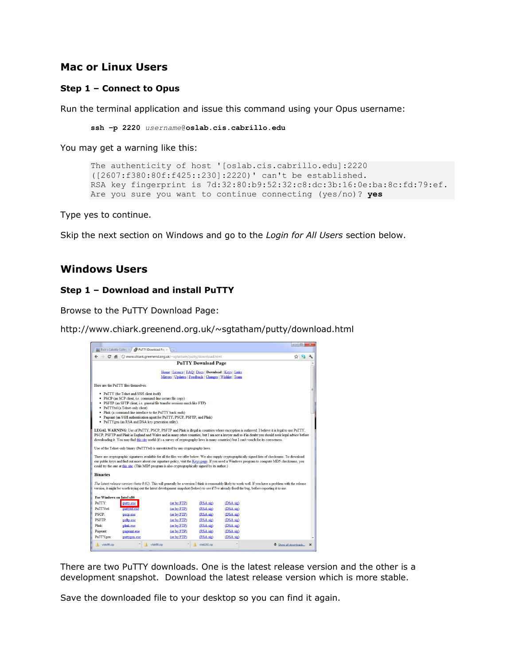### **Mac or Linux Users**

#### **Step 1 – Connect to Opus**

Run the terminal application and issue this command using your Opus username:

```
ssh –p 2220 username@oslab.cis.cabrillo.edu
```
You may get a warning like this:

```
The authenticity of host '[oslab.cis.cabrillo.edu]:2220 
([2607:f380:80f:f425::230]:2220)' can't be established.
RSA key fingerprint is 7d:32:80:b9:52:32:c8:dc:3b:16:0e:ba:8c:fd:79:ef.
Are you sure you want to continue connecting (yes/no)? yes
```
Type yes to continue.

Skip the next section on Windows and go to the *Login for All Users* section below.

### **Windows Users**

#### **Step 1 – Download and install PuTTY**

Browse to the PuTTY Download Page:

http://www.chiark.greenend.org.uk/~sgtatham/putty/download.html

| $\frac{1}{2}$ Rich's Cabrillo Colleg $\times$ | a <sup>9</sup> PuTTY Download Pac ×                                                                                                                                                                                                                                                                                                                                                                                                                 | <b>N</b>                                                                                                          |                            |           |                    | $\begin{array}{c c c c c c} \hline \multicolumn{3}{c }{\mathbf{C}} & \multicolumn{3}{c }{\mathbf{X}} \end{array}$ |             |
|-----------------------------------------------|-----------------------------------------------------------------------------------------------------------------------------------------------------------------------------------------------------------------------------------------------------------------------------------------------------------------------------------------------------------------------------------------------------------------------------------------------------|-------------------------------------------------------------------------------------------------------------------|----------------------------|-----------|--------------------|-------------------------------------------------------------------------------------------------------------------|-------------|
| $\leftarrow$ $\rightarrow$                    | C' A © www.chiark.greenend.org.uk/~sgtatham/putty/download.html                                                                                                                                                                                                                                                                                                                                                                                     |                                                                                                                   |                            |           |                    | ☆ ๑                                                                                                               |             |
|                                               |                                                                                                                                                                                                                                                                                                                                                                                                                                                     |                                                                                                                   | <b>PuTTY Download Page</b> |           |                    |                                                                                                                   |             |
|                                               |                                                                                                                                                                                                                                                                                                                                                                                                                                                     | Home   Licence   FAQ   Docs   Download   Keys   Links<br>Mirrors   Updates   Feedback   Changes   Wishlist   Team |                            |           |                    |                                                                                                                   |             |
|                                               | Here are the PuTTY files themselves:                                                                                                                                                                                                                                                                                                                                                                                                                |                                                                                                                   |                            |           |                    |                                                                                                                   |             |
|                                               | • PuTTY (the Telnet and SSH client itself)<br>· PSCP (an SCP client, i.e. command-line secure file copy)<br>· PSFTP (an SFTP client, i.e. general file transfer sessions much like FTP)<br>• PuTTYtel (a Telnet-only client)<br>• Plink (a command-line interface to the PuTTY back ends)<br>• Pageant (an SSH authentication agent for PuTTY, PSCP, PSFTP, and Plink)<br>• PuTTYgen (an RSA and DSA key generation utility).                       |                                                                                                                   |                            |           |                    |                                                                                                                   |             |
|                                               | LEGAL WARNING: Use of PuTTY, PSCP, PSFTP and Plink is illegal in countries where encryption is outlawed. I believe it is legal to use PuTTY,<br>PSCP, PSFTP and Plink in England and Wales and in many other countries, but I am not a lawyer and so if in doubt you should seek legal advice before<br>downloading it. You may find this site useful (it's a survey of cryptography laws in many countries) but I can't vouch for its correctness. |                                                                                                                   |                            |           |                    |                                                                                                                   |             |
|                                               | Use of the Telnet-only binary (PuTTYtel) is unrestricted by any cryptography laws.                                                                                                                                                                                                                                                                                                                                                                  |                                                                                                                   |                            |           |                    |                                                                                                                   |             |
|                                               | There are cryptographic signatures available for all the files we offer below. We also supply cryptographically signed lists of checksums. To download<br>our public keys and find out more about our signature policy, visit the Keys page. If you need a Windows program to compute MD5 checksums, you<br>could try the one at this site. (This MD5 program is also cryptographically signed by its author.)                                      |                                                                                                                   |                            |           |                    |                                                                                                                   |             |
| <b>Binaries</b>                               |                                                                                                                                                                                                                                                                                                                                                                                                                                                     |                                                                                                                   |                            |           |                    |                                                                                                                   |             |
|                                               | The latest release version (beta 0.62). This will generally be a version I think is reasonably likely to work well. If you have a problem with the release<br>version, it might be worth trying out the latest development snapshot (below) to see if I've already fixed the bug, before reporting it to me.                                                                                                                                        |                                                                                                                   |                            |           |                    |                                                                                                                   |             |
| For Windows on Intel x86<br>PuTTY:            | putty.exe                                                                                                                                                                                                                                                                                                                                                                                                                                           | (or by FTP)                                                                                                       | (RSA sig)                  | (DSA sig) |                    |                                                                                                                   |             |
| <b>PuTTYtel:</b>                              | puttytel.exe                                                                                                                                                                                                                                                                                                                                                                                                                                        | (or by FTP)                                                                                                       | (RSA sig)                  | (DSA sig) |                    |                                                                                                                   |             |
| <b>PSCP-</b>                                  | pscp.exe                                                                                                                                                                                                                                                                                                                                                                                                                                            | (or by FTP)                                                                                                       | (RSA sig)                  | (DSA sig) |                    |                                                                                                                   |             |
| <b>PSFTP-</b>                                 | psftp.exe                                                                                                                                                                                                                                                                                                                                                                                                                                           | (or by FTP)                                                                                                       | (RSA sig)                  | (DSA sig) |                    |                                                                                                                   |             |
| Plink:                                        | plink.exe                                                                                                                                                                                                                                                                                                                                                                                                                                           | (or by FTP)                                                                                                       | (RSA sig)                  | (DSA sig) |                    |                                                                                                                   |             |
| <b>Pageant:</b>                               | pageant.exe                                                                                                                                                                                                                                                                                                                                                                                                                                         | (or by FTP)                                                                                                       | (RSA sig)                  | (DSA sig) |                    |                                                                                                                   |             |
| PuTTYgen:                                     | puttygen.exe                                                                                                                                                                                                                                                                                                                                                                                                                                        | (or by FTP)                                                                                                       | (RSA sig)                  | (DSA sig) |                    |                                                                                                                   |             |
| $1b$ vlab90.zip                               |                                                                                                                                                                                                                                                                                                                                                                                                                                                     | vlab90.zip                                                                                                        | vlab192.zip                |           | Show all downloads |                                                                                                                   | $\mathbf x$ |

There are two PuTTY downloads. One is the latest release version and the other is a development snapshot. Download the latest release version which is more stable.

Save the downloaded file to your desktop so you can find it again.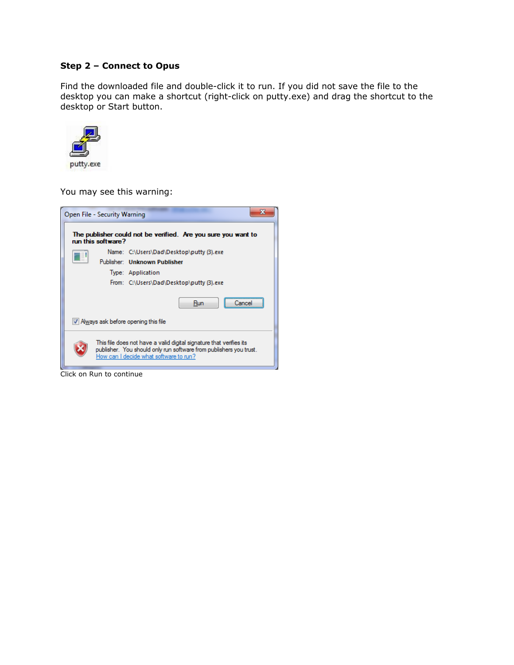#### **Step 2 – Connect to Opus**

Find the downloaded file and double-click it to run. If you did not save the file to the desktop you can make a shortcut (right-click on putty.exe) and drag the shortcut to the desktop or Start button.



You may see this warning:



Click on Run to continue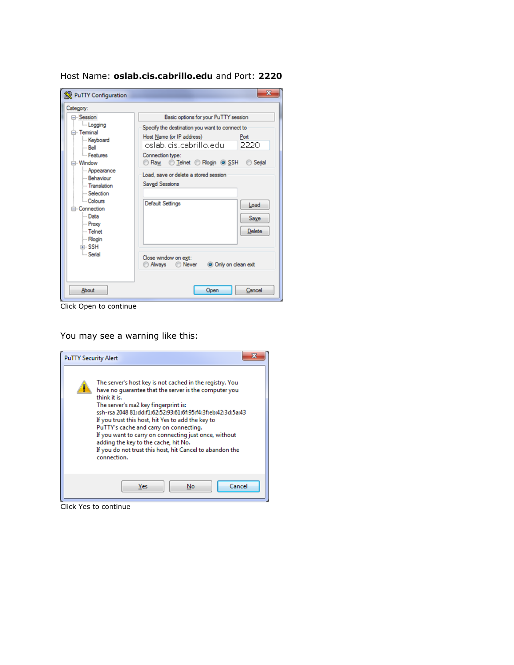Host Name: **oslab.cis.cabrillo.edu** and Port: **2220**



Click Open to continue

You may see a warning like this:



Click Yes to continue